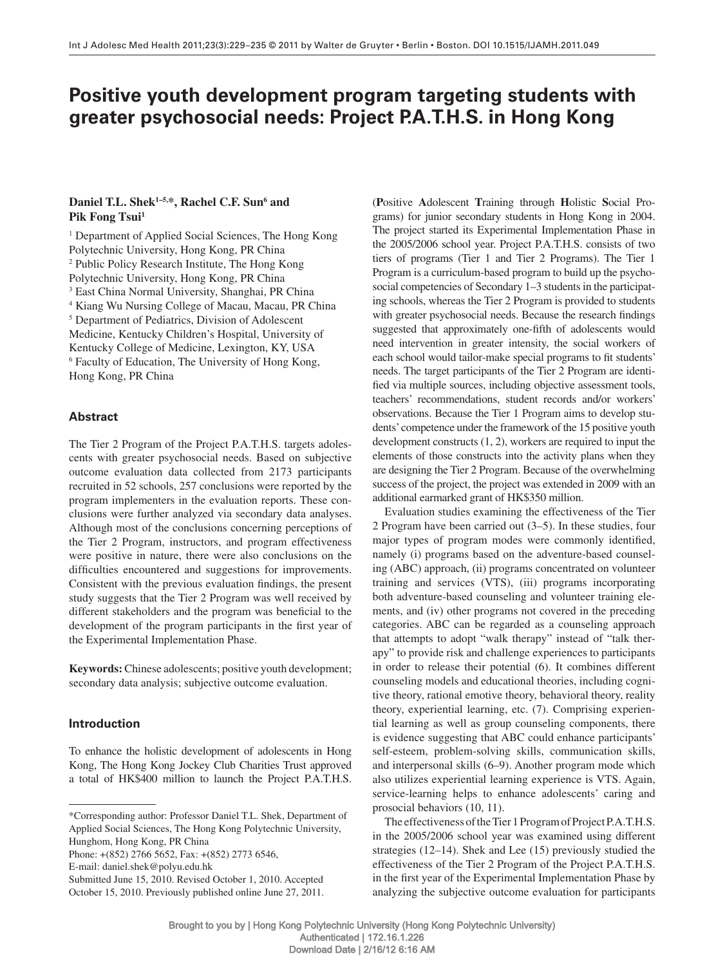# **Positive youth development program targeting students with greater psychosocial needs: Project P.A.T.H.S. in Hong Kong**

## Daniel T.L. Shek<sup>1-5,\*</sup>, Rachel C.F. Sun<sup>6</sup> and Pik Fong Tsui<sup>1</sup>

<sup>1</sup> Department of Applied Social Sciences, The Hong Kong Polytechnic University, Hong Kong, PR China <sup>2</sup> Public Policy Research Institute, The Hong Kong Polytechnic University, Hong Kong, PR China 3 East China Normal University, Shanghai, PR China <sup>4</sup> Kiang Wu Nursing College of Macau, Macau, PR China <sup>5</sup> Department of Pediatrics, Division of Adolescent Medicine, Kentucky Children's Hospital, University of Kentucky College of Medicine, Lexington, KY, USA <sup>6</sup> Faculty of Education, The University of Hong Kong, Hong Kong, PR China

### **Abstract**

 The Tier 2 Program of the Project P.A.T.H.S. targets adolescents with greater psychosocial needs. Based on subjective outcome evaluation data collected from 2173 participants recruited in 52 schools, 257 conclusions were reported by the program implementers in the evaluation reports. These conclusions were further analyzed via secondary data analyses. Although most of the conclusions concerning perceptions of the Tier 2 Program, instructors, and program effectiveness were positive in nature, there were also conclusions on the difficulties encountered and suggestions for improvements. Consistent with the previous evaluation findings, the present study suggests that the Tier 2 Program was well received by different stakeholders and the program was beneficial to the development of the program participants in the first year of the Experimental Implementation Phase.

**Keywords:** Chinese adolescents; positive youth development; secondary data analysis; subjective outcome evaluation.

## **Introduction**

 To enhance the holistic development of adolescents in Hong Kong, The Hong Kong Jockey Club Charities Trust approved a total of HK\$400 million to launch the Project P.A.T.H.S.

Phone: +(852) 2766 5652, Fax: +(852) 2773 6546,

E-mail: daniel.shek@polyu.edu.hk

Submitted June 15, 2010. Revised October 1, 2010. Accepted October 15, 2010. Previously published online June 27, 2011.

( **P** ositive **A** dolescent **T** raining through **H** olistic **S** ocial Programs) for junior secondary students in Hong Kong in 2004. The project started its Experimental Implementation Phase in the 2005/2006 school year. Project P.A.T.H.S. consists of two tiers of programs (Tier 1 and Tier 2 Programs). The Tier 1 Program is a curriculum-based program to build up the psychosocial competencies of Secondary 1-3 students in the participating schools, whereas the Tier 2 Program is provided to students with greater psychosocial needs. Because the research findings suggested that approximately one-fifth of adolescents would need intervention in greater intensity, the social workers of each school would tailor-make special programs to fit students' needs. The target participants of the Tier 2 Program are identified via multiple sources, including objective assessment tools, teachers' recommendations, student records and/or workers' observations. Because the Tier 1 Program aims to develop students' competence under the framework of the 15 positive youth development constructs  $(1, 2)$ , workers are required to input the elements of those constructs into the activity plans when they are designing the Tier 2 Program. Because of the overwhelming success of the project, the project was extended in 2009 with an additional earmarked grant of HK\$350 million.

 Evaluation studies examining the effectiveness of the Tier 2 Program have been carried out  $(3-5)$ . In these studies, four major types of program modes were commonly identified, namely (i) programs based on the adventure-based counseling (ABC) approach, (ii) programs concentrated on volunteer training and services (VTS), (iii) programs incorporating both adventure-based counseling and volunteer training elements, and (iv) other programs not covered in the preceding categories. ABC can be regarded as a counseling approach that attempts to adopt "walk therapy" instead of "talk therapy" to provide risk and challenge experiences to participants in order to release their potential (6). It combines different counseling models and educational theories, including cognitive theory, rational emotive theory, behavioral theory, reality theory, experiential learning, etc. (7). Comprising experiential learning as well as group counseling components, there is evidence suggesting that ABC could enhance participants ' self-esteem, problem-solving skills, communication skills, and interpersonal skills  $(6-9)$ . Another program mode which also utilizes experiential learning experience is VTS. Again, service-learning helps to enhance adolescents' caring and prosocial behaviors (10, 11).

 The effectiveness of the Tier 1 Program of Project P.A.T.H.S. in the 2005/2006 school year was examined using different strategies  $(12-14)$ . Shek and Lee  $(15)$  previously studied the effectiveness of the Tier 2 Program of the Project P.A.T.H.S. in the first year of the Experimental Implementation Phase by analyzing the subjective outcome evaluation for participants

 <sup>\*</sup>Corresponding author: Professor Daniel T.L. Shek, Department of Applied Social Sciences, The Hong Kong Polytechnic University, Hunghom, Hong Kong, PR China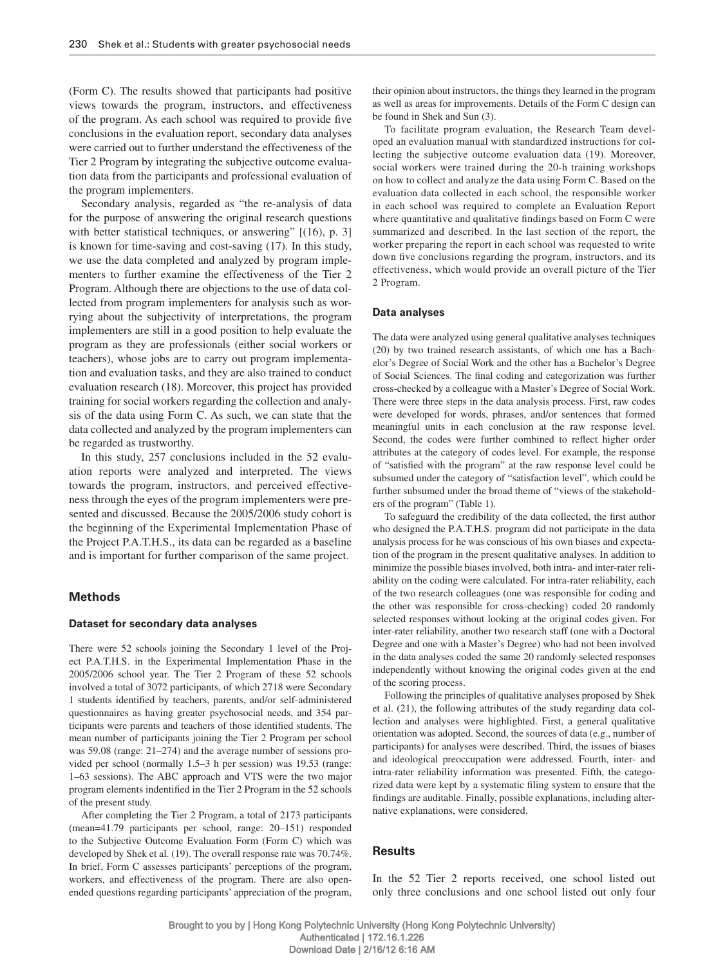(Form C). The results showed that participants had positive views towards the program, instructors, and effectiveness of the program. As each school was required to provide five conclusions in the evaluation report, secondary data analyses were carried out to further understand the effectiveness of the Tier 2 Program by integrating the subjective outcome evaluation data from the participants and professional evaluation of the program implementers.

Secondary analysis, regarded as "the re-analysis of data for the purpose of answering the original research questions with better statistical techniques, or answering"  $[ (16), p. 3 ]$ is known for time-saving and cost-saving (17). In this study, we use the data completed and analyzed by program implementers to further examine the effectiveness of the Tier 2 Program. Although there are objections to the use of data collected from program implementers for analysis such as worrying about the subjectivity of interpretations, the program implementers are still in a good position to help evaluate the program as they are professionals (either social workers or teachers), whose jobs are to carry out program implementation and evaluation tasks, and they are also trained to conduct evaluation research (18) . Moreover, this project has provided training for social workers regarding the collection and analysis of the data using Form C. As such, we can state that the data collected and analyzed by the program implementers can be regarded as trustworthy.

 In this study, 257 conclusions included in the 52 evaluation reports were analyzed and interpreted. The views towards the program, instructors, and perceived effectiveness through the eyes of the program implementers were presented and discussed. Because the 2005/2006 study cohort is the beginning of the Experimental Implementation Phase of the Project P.A.T.H.S., its data can be regarded as a baseline and is important for further comparison of the same project.

#### **Methods**

#### **Dataset for secondary data analyses**

 There were 52 schools joining the Secondary 1 level of the Project P.A.T.H.S. in the Experimental Implementation Phase in the 2005/2006 school year. The Tier 2 Program of these 52 schools involved a total of 3072 participants, of which 2718 were Secondary 1 students identified by teachers, parents, and/or self-administered questionnaires as having greater psychosocial needs, and 354 participants were parents and teachers of those identified students. The mean number of participants joining the Tier 2 Program per school was 59.08 (range: 21–274) and the average number of sessions provided per school (normally 1.5–3 h per session) was 19.53 (range: 1–63 sessions). The ABC approach and VTS were the two major program elements indentified in the Tier 2 Program in the 52 schools of the present study.

 After completing the Tier 2 Program, a total of 2173 participants (mean=41.79 participants per school, range: 20-151) responded to the Subjective Outcome Evaluation Form (Form C) which was developed by Shek et al. (19). The overall response rate was 70.74%. In brief, Form C assesses participants' perceptions of the program, workers, and effectiveness of the program. There are also openended questions regarding participants ' appreciation of the program, their opinion about instructors, the things they learned in the program as well as areas for improvements. Details of the Form C design can be found in Shek and Sun  $(3)$ .

 To facilitate program evaluation, the Research Team developed an evaluation manual with standardized instructions for collecting the subjective outcome evaluation data (19). Moreover, social workers were trained during the 20-h training workshops on how to collect and analyze the data using Form C. Based on the evaluation data collected in each school, the responsible worker in each school was required to complete an Evaluation Report where quantitative and qualitative findings based on Form C were summarized and described. In the last section of the report, the worker preparing the report in each school was requested to write down five conclusions regarding the program, instructors, and its effectiveness, which would provide an overall picture of the Tier 2 Program.

#### **Data analyses**

 The data were analyzed using general qualitative analyses techniques (20) by two trained research assistants, of which one has a Bachelor's Degree of Social Work and the other has a Bachelor's Degree of Social Sciences. The final coding and categorization was further cross-checked by a colleague with a Master's Degree of Social Work. There were three steps in the data analysis process. First, raw codes were developed for words, phrases, and/or sentences that formed meaningful units in each conclusion at the raw response level. Second, the codes were further combined to reflect higher order attributes at the category of codes level. For example, the response of "satisfied with the program" at the raw response level could be subsumed under the category of "satisfaction level", which could be further subsumed under the broad theme of "views of the stakeholders of the program" (Table 1).

To safeguard the credibility of the data collected, the first author who designed the P.A.T.H.S. program did not participate in the data analysis process for he was conscious of his own biases and expectation of the program in the present qualitative analyses. In addition to minimize the possible biases involved, both intra- and inter-rater reliability on the coding were calculated. For intra-rater reliability, each of the two research colleagues (one was responsible for coding and the other was responsible for cross-checking) coded 20 randomly selected responses without looking at the original codes given. For inter-rater reliability, another two research staff (one with a Doctoral Degree and one with a Master's Degree) who had not been involved in the data analyses coded the same 20 randomly selected responses independently without knowing the original codes given at the end of the scoring process.

 Following the principles of qualitative analyses proposed by Shek et al. (21) , the following attributes of the study regarding data collection and analyses were highlighted. First, a general qualitative orientation was adopted. Second, the sources of data (e.g., number of participants) for analyses were described. Third, the issues of biases and ideological preoccupation were addressed. Fourth, inter- and intra-rater reliability information was presented. Fifth, the categorized data were kept by a systematic filing system to ensure that the findings are auditable. Finally, possible explanations, including alternative explanations, were considered.

#### **Results**

 In the 52 Tier 2 reports received, one school listed out only three conclusions and one school listed out only four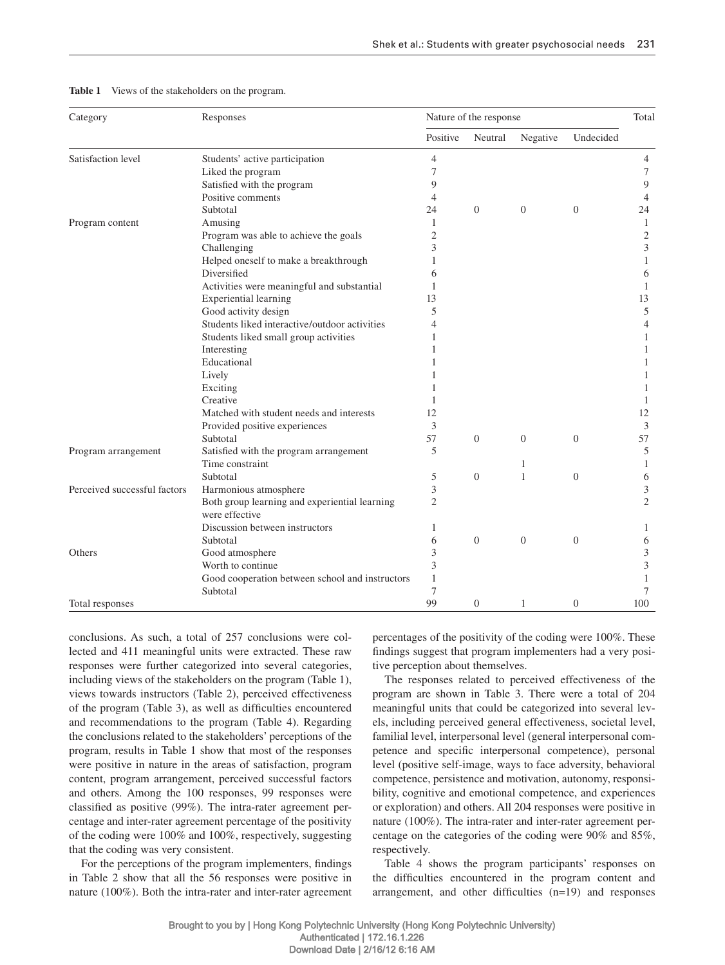| Category                     | Responses                                                       | Nature of the response |                  |          |                | Total        |
|------------------------------|-----------------------------------------------------------------|------------------------|------------------|----------|----------------|--------------|
|                              |                                                                 | Positive               | Neutral          | Negative | Undecided      |              |
| Satisfaction level           | Students' active participation                                  | $\overline{4}$         |                  |          |                | 4            |
|                              | Liked the program                                               | 7                      |                  |          |                | 7            |
|                              | Satisfied with the program                                      | 9                      |                  |          |                | 9            |
|                              | Positive comments                                               | $\overline{4}$         |                  |          |                | 4            |
|                              | Subtotal                                                        | 24                     | $\boldsymbol{0}$ | $\theta$ | $\Omega$       | 24           |
| Program content              | Amusing                                                         | 1                      |                  |          |                | $\mathbf{1}$ |
|                              | Program was able to achieve the goals                           | $\overline{2}$         |                  |          |                | $\sqrt{2}$   |
|                              | Challenging                                                     | 3                      |                  |          |                | 3            |
|                              | Helped oneself to make a breakthrough                           |                        |                  |          |                | $\mathbf{1}$ |
|                              | Diversified                                                     | 6                      |                  |          |                | 6            |
|                              | Activities were meaningful and substantial                      | 1                      |                  |          |                | $\mathbf{1}$ |
|                              | <b>Experiential learning</b>                                    | 13                     |                  |          |                | 13           |
|                              | Good activity design                                            | 5                      |                  |          |                | 5            |
|                              | Students liked interactive/outdoor activities                   | 4                      |                  |          |                | 4            |
|                              | Students liked small group activities                           |                        |                  |          |                | $\mathbf{1}$ |
|                              | Interesting                                                     |                        |                  |          |                | 1            |
|                              | Educational                                                     |                        |                  |          |                | 1            |
|                              | Lively                                                          |                        |                  |          |                | 1            |
|                              | Exciting                                                        |                        |                  |          |                | 1            |
|                              | Creative                                                        |                        |                  |          |                | 1            |
|                              | Matched with student needs and interests                        | 12                     |                  |          |                | 12           |
|                              | Provided positive experiences                                   | 3                      |                  |          |                | 3            |
|                              | Subtotal                                                        | 57                     | $\overline{0}$   | $\Omega$ | $\Omega$       | 57           |
| Program arrangement          | Satisfied with the program arrangement                          | 5                      |                  |          |                | $\sqrt{5}$   |
|                              | Time constraint                                                 |                        |                  | 1        |                | $\mathbf{1}$ |
|                              | Subtotal                                                        | 5                      | $\overline{0}$   | 1        | $\Omega$       | 6            |
| Perceived successful factors | Harmonious atmosphere                                           | 3                      |                  |          |                | 3            |
|                              | Both group learning and experiential learning<br>were effective | $\overline{c}$         |                  |          |                | 2            |
|                              | Discussion between instructors                                  | 1                      |                  |          |                | 1            |
|                              | Subtotal                                                        | 6                      | $\overline{0}$   | $\theta$ | $\Omega$       | 6            |
| Others                       | Good atmosphere                                                 | 3                      |                  |          |                | 3            |
|                              | Worth to continue                                               | 3                      |                  |          |                | 3            |
|                              | Good cooperation between school and instructors                 | 1                      |                  |          |                | 1            |
|                              | Subtotal                                                        | 7                      |                  |          |                | 7            |
| Total responses              |                                                                 | 99                     | $\overline{0}$   | 1        | $\overline{0}$ | 100          |

#### **Table 1** Views of the stakeholders on the program.

conclusions. As such, a total of 257 conclusions were collected and 411 meaningful units were extracted. These raw responses were further categorized into several categories, including views of the stakeholders on the program (Table 1), views towards instructors (Table 2), perceived effectiveness of the program (Table 3), as well as difficulties encountered and recommendations to the program (Table 4). Regarding the conclusions related to the stakeholders' perceptions of the program, results in Table 1 show that most of the responses were positive in nature in the areas of satisfaction, program content, program arrangement, perceived successful factors and others. Among the 100 responses, 99 responses were classified as positive (99%). The intra-rater agreement percentage and inter-rater agreement percentage of the positivity of the coding were 100% and 100%, respectively, suggesting that the coding was very consistent.

For the perceptions of the program implementers, findings in Table 2 show that all the 56 responses were positive in nature (100%). Both the intra-rater and inter-rater agreement percentages of the positivity of the coding were 100%. These findings suggest that program implementers had a very positive perception about themselves.

 The responses related to perceived effectiveness of the program are shown in Table 3. There were a total of 204 meaningful units that could be categorized into several levels, including perceived general effectiveness, societal level, familial level, interpersonal level (general interpersonal competence and specific interpersonal competence), personal level (positive self-image, ways to face adversity, behavioral competence, persistence and motivation, autonomy, responsibility, cognitive and emotional competence, and experiences or exploration) and others. All 204 responses were positive in nature (100%). The intra-rater and inter-rater agreement percentage on the categories of the coding were  $90\%$  and  $85\%$ , respectively.

Table 4 shows the program participants' responses on the difficulties encountered in the program content and arrangement, and other difficulties  $(n=19)$  and responses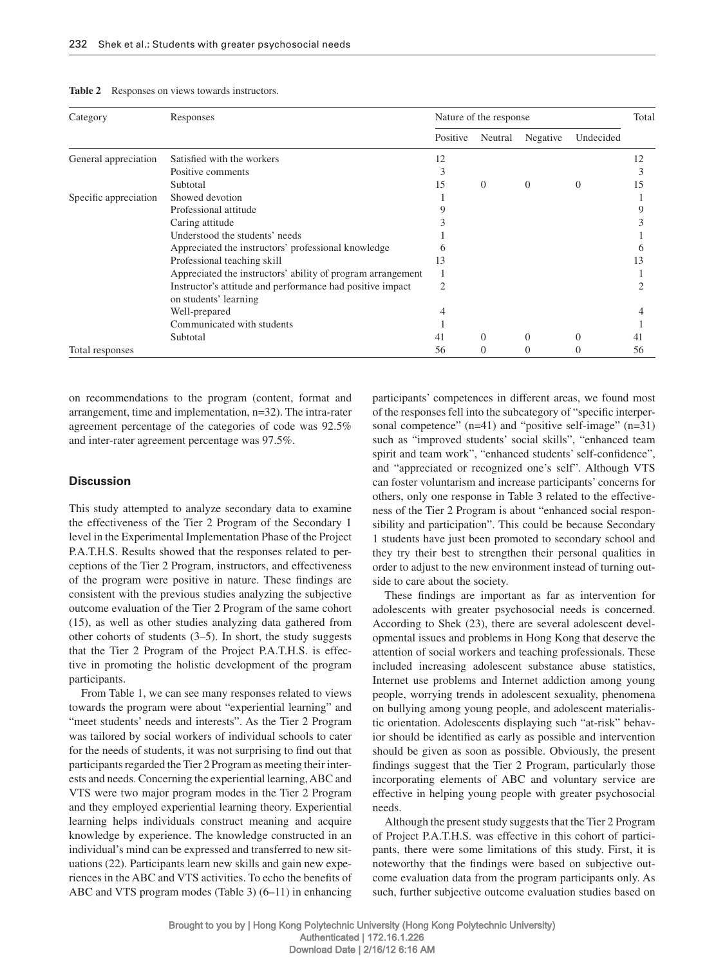| Category              | Responses                                                                          | Nature of the response |          |          |           | Total |
|-----------------------|------------------------------------------------------------------------------------|------------------------|----------|----------|-----------|-------|
|                       |                                                                                    |                        | Neutral  | Negative | Undecided |       |
| General appreciation  | Satisfied with the workers                                                         | 12                     |          |          |           | 12    |
|                       | Positive comments                                                                  |                        |          |          |           |       |
|                       | Subtotal                                                                           | 15                     | $\Omega$ | $\theta$ | $\Omega$  | 15    |
| Specific appreciation | Showed devotion                                                                    |                        |          |          |           |       |
|                       | Professional attitude                                                              |                        |          |          |           |       |
|                       | Caring attitude                                                                    |                        |          |          |           |       |
|                       | Understood the students' needs                                                     |                        |          |          |           |       |
|                       | Appreciated the instructors' professional knowledge                                |                        |          |          |           |       |
|                       | Professional teaching skill                                                        | 13                     |          |          |           | 13    |
|                       | Appreciated the instructors' ability of program arrangement                        |                        |          |          |           |       |
|                       | Instructor's attitude and performance had positive impact<br>on students' learning | 2                      |          |          |           |       |
|                       | Well-prepared                                                                      |                        |          |          |           |       |
|                       | Communicated with students                                                         |                        |          |          |           |       |
|                       | Subtotal                                                                           | 41                     | $\Omega$ | $\Omega$ | $\Omega$  | 41    |
| Total responses       |                                                                                    | 56                     | $\Omega$ |          |           | 56    |

on recommendations to the program (content, format and arrangement, time and implementation,  $n=32$ ). The intra-rater agreement percentage of the categories of code was 92.5% and inter-rater agreement percentage was 97.5%.

#### **Discussion**

 This study attempted to analyze secondary data to examine the effectiveness of the Tier 2 Program of the Secondary 1 level in the Experimental Implementation Phase of the Project P.A.T.H.S. Results showed that the responses related to perceptions of the Tier 2 Program, instructors, and effectiveness of the program were positive in nature. These findings are consistent with the previous studies analyzing the subjective outcome evaluation of the Tier 2 Program of the same cohort (15) , as well as other studies analyzing data gathered from other cohorts of students  $(3-5)$ . In short, the study suggests that the Tier 2 Program of the Project P.A.T.H.S. is effective in promoting the holistic development of the program participants.

From Table 1, we can see many responses related to views towards the program were about "experiential learning" and "meet students' needs and interests". As the Tier 2 Program was tailored by social workers of individual schools to cater for the needs of students, it was not surprising to find out that participants regarded the Tier 2 Program as meeting their interests and needs. Concerning the experiential learning, ABC and VTS were two major program modes in the Tier 2 Program and they employed experiential learning theory. Experiential learning helps individuals construct meaning and acquire knowledge by experience. The knowledge constructed in an individual's mind can be expressed and transferred to new situations (22) . Participants learn new skills and gain new experiences in the ABC and VTS activities. To echo the benefits of ABC and VTS program modes (Table 3)  $(6-11)$  in enhancing

participants' competences in different areas, we found most of the responses fell into the subcategory of "specific interpersonal competence"  $(n=41)$  and "positive self-image"  $(n=31)$ such as "improved students' social skills", "enhanced team spirit and team work", "enhanced students' self-confidence", and "appreciated or recognized one's self". Although VTS can foster voluntarism and increase participants ' concerns for others, only one response in Table 3 related to the effectiveness of the Tier 2 Program is about "enhanced social responsibility and participation". This could be because Secondary 1 students have just been promoted to secondary school and they try their best to strengthen their personal qualities in order to adjust to the new environment instead of turning outside to care about the society.

These findings are important as far as intervention for adolescents with greater psychosocial needs is concerned. According to Shek (23), there are several adolescent developmental issues and problems in Hong Kong that deserve the attention of social workers and teaching professionals. These included increasing adolescent substance abuse statistics, Internet use problems and Internet addiction among young people, worrying trends in adolescent sexuality, phenomena on bullying among young people, and adolescent materialistic orientation. Adolescents displaying such "at-risk" behavior should be identified as early as possible and intervention should be given as soon as possible. Obviously, the present findings suggest that the Tier 2 Program, particularly those incorporating elements of ABC and voluntary service are effective in helping young people with greater psychosocial needs.

 Although the present study suggests that the Tier 2 Program of Project P.A.T.H.S. was effective in this cohort of participants, there were some limitations of this study. First, it is noteworthy that the findings were based on subjective outcome evaluation data from the program participants only. As such, further subjective outcome evaluation studies based on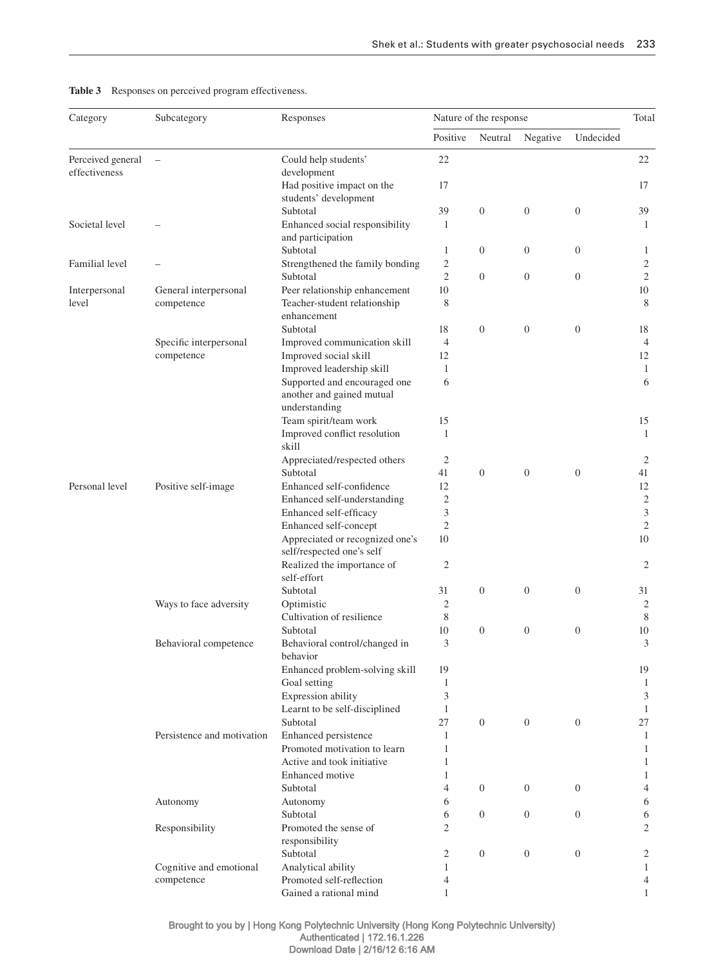Table 3 Responses on perceived program effectiveness.

| Category          | Subcategory                | Responses                             | Nature of the response |                  |                  |                  | Total          |
|-------------------|----------------------------|---------------------------------------|------------------------|------------------|------------------|------------------|----------------|
|                   |                            |                                       | Positive               | Neutral          | Negative         | Undecided        |                |
| Perceived general |                            | Could help students'                  | 22                     |                  |                  |                  | 22             |
| effectiveness     |                            | development                           |                        |                  |                  |                  |                |
|                   |                            | Had positive impact on the            | 17                     |                  |                  |                  | 17             |
|                   |                            | students' development                 |                        |                  |                  |                  |                |
|                   |                            | Subtotal                              | 39                     | $\boldsymbol{0}$ | $\boldsymbol{0}$ | $\boldsymbol{0}$ | 39             |
| Societal level    |                            | Enhanced social responsibility        | 1                      |                  |                  |                  | 1              |
|                   |                            | and participation                     |                        |                  |                  |                  |                |
|                   |                            | Subtotal                              | $\mathbf{1}$           | $\mathbf{0}$     | $\mathbf{0}$     | $\overline{0}$   | 1              |
| Familial level    |                            | Strengthened the family bonding       | $\mathfrak{2}$         |                  |                  |                  | $\overline{c}$ |
|                   |                            | Subtotal                              | $\mathfrak{2}$         | $\theta$         | $\boldsymbol{0}$ | $\overline{0}$   | $\overline{c}$ |
| Interpersonal     | General interpersonal      | Peer relationship enhancement         | 10                     |                  |                  |                  | 10             |
| level             | competence                 | Teacher-student relationship          | 8                      |                  |                  |                  | 8              |
|                   |                            | enhancement                           |                        |                  |                  |                  |                |
|                   |                            | Subtotal                              | 18                     | $\boldsymbol{0}$ | $\theta$         | $\boldsymbol{0}$ | 18             |
|                   | Specific interpersonal     | Improved communication skill          | $\overline{4}$         |                  |                  |                  | $\overline{4}$ |
|                   | competence                 | Improved social skill                 | 12                     |                  |                  |                  | 12             |
|                   |                            | Improved leadership skill             | 1                      |                  |                  |                  | 1              |
|                   |                            | Supported and encouraged one          | 6                      |                  |                  |                  | 6              |
|                   |                            | another and gained mutual             |                        |                  |                  |                  |                |
|                   |                            | understanding                         |                        |                  |                  |                  |                |
|                   |                            | Team spirit/team work                 | 15                     |                  |                  |                  | 15             |
|                   |                            | Improved conflict resolution<br>skill | $\mathbf{1}$           |                  |                  |                  | $\mathbf{1}$   |
|                   |                            | Appreciated/respected others          | $\mathfrak{2}$         |                  |                  |                  | 2              |
|                   |                            | Subtotal                              | 41                     | $\overline{0}$   | $\mathbf{0}$     | $\theta$         | 41             |
| Personal level    | Positive self-image        | Enhanced self-confidence              | 12                     |                  |                  |                  | 12             |
|                   |                            | Enhanced self-understanding           | $\mathfrak{2}$         |                  |                  |                  | $\sqrt{2}$     |
|                   |                            | Enhanced self-efficacy                | 3                      |                  |                  |                  | 3              |
|                   |                            | Enhanced self-concept                 | $\mathfrak{2}$         |                  |                  |                  | $\sqrt{2}$     |
|                   |                            | Appreciated or recognized one's       | 10                     |                  |                  |                  | 10             |
|                   |                            | self/respected one's self             |                        |                  |                  |                  |                |
|                   |                            | Realized the importance of            | $\mathfrak{2}$         |                  |                  |                  | 2              |
|                   |                            | self-effort                           |                        |                  |                  |                  |                |
|                   |                            | Subtotal                              | 31                     | $\boldsymbol{0}$ | $\mathbf{0}$     | $\mathbf{0}$     | 31             |
|                   | Ways to face adversity     | Optimistic                            | $\overline{c}$         |                  |                  |                  | 2              |
|                   |                            | Cultivation of resilience             | 8                      |                  |                  |                  | 8              |
|                   |                            | Subtotal                              | 10                     | $\mathbf{0}$     | $\mathbf{0}$     | $\boldsymbol{0}$ | 10             |
|                   | Behavioral competence      | Behavioral control/changed in         | 3                      |                  |                  |                  | 3              |
|                   |                            | behavior                              |                        |                  |                  |                  |                |
|                   |                            | Enhanced problem-solving skill        | 19                     |                  |                  |                  | 19             |
|                   |                            | Goal setting                          | $\mathbf{1}$           |                  |                  |                  | -1             |
|                   |                            | Expression ability                    | 3                      |                  |                  |                  | 3              |
|                   |                            | Learnt to be self-disciplined         | $\mathbf{1}$           |                  |                  |                  | 1              |
|                   |                            | Subtotal                              | 27                     | $\mathbf{0}$     | $\overline{0}$   | $\overline{0}$   | 27             |
|                   | Persistence and motivation | Enhanced persistence                  | 1                      |                  |                  |                  | 1              |
|                   |                            | Promoted motivation to learn          | $\mathbf{1}$           |                  |                  |                  | 1              |
|                   |                            | Active and took initiative            | $\mathbf{1}$           |                  |                  |                  | $\mathbf{1}$   |
|                   |                            | Enhanced motive                       | $\mathbf{1}$           |                  |                  |                  | $\mathbf{1}$   |
|                   |                            | Subtotal                              | $\overline{4}$         | $\mathbf{0}$     | $\overline{0}$   | $\overline{0}$   | 4              |
|                   | Autonomy                   | Autonomy                              | 6                      |                  |                  |                  | 6              |
|                   |                            | Subtotal                              | 6                      | $\mathbf{0}$     | $\mathbf{0}$     | $\overline{0}$   | 6              |
|                   | Responsibility             | Promoted the sense of                 | $\mathfrak{2}$         |                  |                  |                  | $\mathbf{2}$   |
|                   |                            | responsibility                        |                        |                  |                  |                  |                |
|                   |                            | Subtotal                              | $\mathfrak{2}$         | $\mathbf{0}$     | $\mathbf{0}$     | $\theta$         | 2              |
|                   | Cognitive and emotional    | Analytical ability                    | 1                      |                  |                  |                  | $\mathbf{1}$   |
|                   | competence                 | Promoted self-reflection              | 4                      |                  |                  |                  | 4              |
|                   |                            | Gained a rational mind                | $\mathbf{1}$           |                  |                  |                  | $\mathbf{1}$   |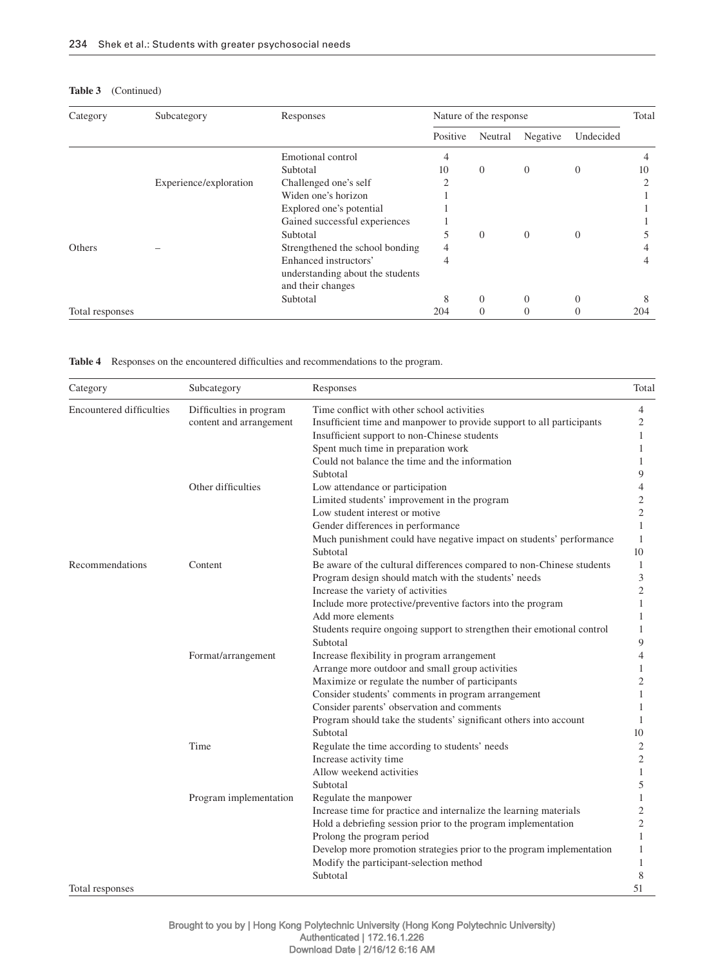| Category        | Subcategory            | Responses                        | Nature of the response |          |                |                | Total |
|-----------------|------------------------|----------------------------------|------------------------|----------|----------------|----------------|-------|
|                 |                        |                                  | Positive               | Neutral  | Negative       | Undecided      |       |
|                 |                        | Emotional control                | 4                      |          |                |                |       |
|                 |                        | Subtotal                         | 10                     | $\theta$ | $\overline{0}$ | $\overline{0}$ | 10    |
|                 | Experience/exploration | Challenged one's self            | ↑                      |          |                |                |       |
|                 |                        | Widen one's horizon              |                        |          |                |                |       |
|                 |                        | Explored one's potential         |                        |          |                |                |       |
|                 |                        | Gained successful experiences    |                        |          |                |                |       |
|                 |                        | Subtotal                         | 5                      | $\theta$ | $\Omega$       | $\Omega$       |       |
| Others          |                        | Strengthened the school bonding  | 4                      |          |                |                |       |
|                 |                        | Enhanced instructors'            | 4                      |          |                |                | 4     |
|                 |                        | understanding about the students |                        |          |                |                |       |
|                 |                        | and their changes                |                        |          |                |                |       |
|                 |                        | Subtotal                         | 8                      | $\Omega$ | $\Omega$       | $\Omega$       | 8     |
| Total responses |                        |                                  | 204                    | $\theta$ | $\theta$       | $\Omega$       | 204   |

Table 4 Responses on the encountered difficulties and recommendations to the program.

| Category                        | Subcategory             | Responses                                                                       | Total          |
|---------------------------------|-------------------------|---------------------------------------------------------------------------------|----------------|
| <b>Encountered difficulties</b> | Difficulties in program | Time conflict with other school activities                                      | $\overline{4}$ |
|                                 | content and arrangement | Insufficient time and manpower to provide support to all participants           | 2              |
|                                 |                         | Insufficient support to non-Chinese students                                    | 1              |
|                                 |                         | Spent much time in preparation work                                             | 1              |
|                                 |                         | Could not balance the time and the information                                  |                |
|                                 |                         | Subtotal                                                                        | 9              |
|                                 | Other difficulties      | Low attendance or participation                                                 | 4              |
|                                 |                         | Limited students' improvement in the program                                    | 2              |
|                                 |                         | Low student interest or motive                                                  | $\overline{c}$ |
|                                 |                         | Gender differences in performance                                               | 1              |
|                                 |                         | Much punishment could have negative impact on students' performance<br>Subtotal | 1<br>10        |
|                                 | Content                 | Be aware of the cultural differences compared to non-Chinese students           | 1              |
| Recommendations                 |                         | Program design should match with the students' needs                            | 3              |
|                                 |                         | Increase the variety of activities                                              | $\overline{c}$ |
|                                 |                         | Include more protective/preventive factors into the program                     | 1              |
|                                 |                         | Add more elements                                                               | 1              |
|                                 |                         | Students require ongoing support to strengthen their emotional control          | 1              |
|                                 |                         | Subtotal                                                                        | 9              |
|                                 | Format/arrangement      | Increase flexibility in program arrangement                                     | 4              |
|                                 |                         | Arrange more outdoor and small group activities                                 | 1              |
|                                 |                         | Maximize or regulate the number of participants                                 | 2              |
|                                 |                         | Consider students' comments in program arrangement                              |                |
|                                 |                         | Consider parents' observation and comments                                      | 1              |
|                                 |                         | Program should take the students' significant others into account               | 1              |
|                                 |                         | Subtotal                                                                        | 10             |
|                                 | Time                    | Regulate the time according to students' needs                                  | $\overline{c}$ |
|                                 |                         | Increase activity time                                                          | $\overline{2}$ |
|                                 |                         | Allow weekend activities                                                        | 1              |
|                                 |                         | Subtotal                                                                        | 5              |
|                                 | Program implementation  | Regulate the manpower                                                           | 1              |
|                                 |                         | Increase time for practice and internalize the learning materials               | $\overline{c}$ |
|                                 |                         | Hold a debriefing session prior to the program implementation                   | 2              |
|                                 |                         | Prolong the program period                                                      | 1              |
|                                 |                         | Develop more promotion strategies prior to the program implementation           | 1              |
|                                 |                         | Modify the participant-selection method                                         | 1              |
|                                 |                         | Subtotal                                                                        | 8              |
| Total responses                 |                         |                                                                                 | 51             |